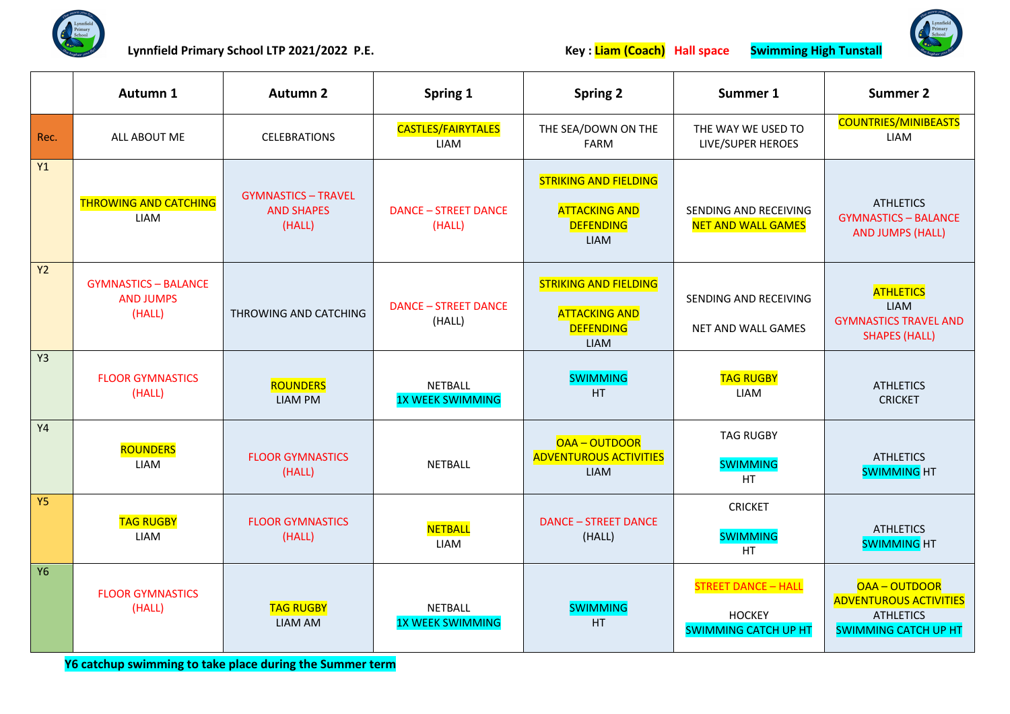

Lynnfield Primary School LTP 2021/2022 P.E. **Key : Liam (Coach) Hall space** Swimming High Tunstall



|                | Autumn 1                                                  | <b>Autumn 2</b>                                           | Spring 1                                  | <b>Spring 2</b>                                                                         | Summer 1                                                                   | <b>Summer 2</b>                                                                                 |
|----------------|-----------------------------------------------------------|-----------------------------------------------------------|-------------------------------------------|-----------------------------------------------------------------------------------------|----------------------------------------------------------------------------|-------------------------------------------------------------------------------------------------|
| Rec.           | ALL ABOUT ME                                              | <b>CELEBRATIONS</b>                                       | <b>CASTLES/FAIRYTALES</b><br>LIAM         | THE SEA/DOWN ON THE<br><b>FARM</b>                                                      | THE WAY WE USED TO<br>LIVE/SUPER HEROES                                    | <b>COUNTRIES/MINIBEASTS</b><br><b>LIAM</b>                                                      |
| Y1             | <b>THROWING AND CATCHING</b><br><b>LIAM</b>               | <b>GYMNASTICS - TRAVEL</b><br><b>AND SHAPES</b><br>(HALL) | <b>DANCE - STREET DANCE</b><br>(HALL)     | <b>STRIKING AND FIELDING</b><br><b>ATTACKING AND</b><br><b>DEFENDING</b><br><b>LIAM</b> | SENDING AND RECEIVING<br><b>NET AND WALL GAMES</b>                         | <b>ATHLETICS</b><br><b>GYMNASTICS - BALANCE</b><br><b>AND JUMPS (HALL)</b>                      |
| Y2             | <b>GYMNASTICS - BALANCE</b><br><b>AND JUMPS</b><br>(HALL) | THROWING AND CATCHING                                     | <b>DANCE - STREET DANCE</b><br>(HALL)     | <b>STRIKING AND FIELDING</b><br><b>ATTACKING AND</b><br><b>DEFENDING</b><br><b>LIAM</b> | SENDING AND RECEIVING<br>NET AND WALL GAMES                                | <b>ATHLETICS</b><br><b>LIAM</b><br><b>GYMNASTICS TRAVEL AND</b><br><b>SHAPES (HALL)</b>         |
| Y <sub>3</sub> | <b>FLOOR GYMNASTICS</b><br>(HALL)                         | <b>ROUNDERS</b><br><b>LIAM PM</b>                         | NETBALL<br><b>1X WEEK SWIMMING</b>        | <b>SWIMMING</b><br>HT.                                                                  | <b>TAG RUGBY</b><br><b>LIAM</b>                                            | <b>ATHLETICS</b><br><b>CRICKET</b>                                                              |
| <b>Y4</b>      | <b>ROUNDERS</b><br><b>LIAM</b>                            | <b>FLOOR GYMNASTICS</b><br>(HALL)                         | <b>NETBALL</b>                            | OAA-OUTDOOR<br><b>ADVENTUROUS ACTIVITIES</b><br><b>LIAM</b>                             | <b>TAG RUGBY</b><br><b>SWIMMING</b><br><b>HT</b>                           | <b>ATHLETICS</b><br><b>SWIMMING HT</b>                                                          |
| <b>Y5</b>      | <b>TAG RUGBY</b><br>LIAM                                  | <b>FLOOR GYMNASTICS</b><br>(HALL)                         | <b>NETBALL</b><br>LIAM                    | <b>DANCE - STREET DANCE</b><br>(HALL)                                                   | <b>CRICKET</b><br><b>SWIMMING</b><br>HT.                                   | <b>ATHLETICS</b><br><b>SWIMMING HT</b>                                                          |
| <b>Y6</b>      | <b>FLOOR GYMNASTICS</b><br>(HALL)                         | <b>TAG RUGBY</b><br><b>LIAM AM</b>                        | <b>NETBALL</b><br><b>1X WEEK SWIMMING</b> | <b>SWIMMING</b><br><b>HT</b>                                                            | <b>STREET DANCE - HALL</b><br><b>HOCKEY</b><br><b>SWIMMING CATCH UP HT</b> | OAA-OUTDOOR<br><b>ADVENTUROUS ACTIVITIES</b><br><b>ATHLETICS</b><br><b>SWIMMING CATCH UP HT</b> |

**Y6 catchup swimming to take place during the Summer term**